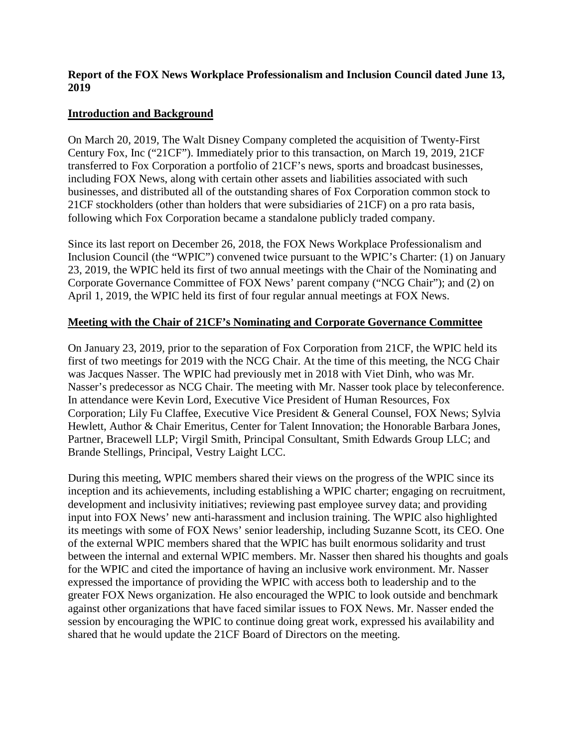#### **Report of the FOX News Workplace Professionalism and Inclusion Council dated June 13, 2019**

### **Introduction and Background**

On March 20, 2019, The Walt Disney Company completed the acquisition of Twenty-First Century Fox, Inc ("21CF"). Immediately prior to this transaction, on March 19, 2019, 21CF transferred to Fox Corporation a portfolio of 21CF's news, sports and broadcast businesses, including FOX News, along with certain other assets and liabilities associated with such businesses, and distributed all of the outstanding shares of Fox Corporation common stock to 21CF stockholders (other than holders that were subsidiaries of 21CF) on a pro rata basis, following which Fox Corporation became a standalone publicly traded company.

Since its last report on December 26, 2018, the FOX News Workplace Professionalism and Inclusion Council (the "WPIC") convened twice pursuant to the WPIC's Charter: (1) on January 23, 2019, the WPIC held its first of two annual meetings with the Chair of the Nominating and Corporate Governance Committee of FOX News' parent company ("NCG Chair"); and (2) on April 1, 2019, the WPIC held its first of four regular annual meetings at FOX News.

## **Meeting with the Chair of 21CF's Nominating and Corporate Governance Committee**

On January 23, 2019, prior to the separation of Fox Corporation from 21CF, the WPIC held its first of two meetings for 2019 with the NCG Chair. At the time of this meeting, the NCG Chair was Jacques Nasser. The WPIC had previously met in 2018 with Viet Dinh, who was Mr. Nasser's predecessor as NCG Chair. The meeting with Mr. Nasser took place by teleconference. In attendance were Kevin Lord, Executive Vice President of Human Resources, Fox Corporation; Lily Fu Claffee, Executive Vice President & General Counsel, FOX News; Sylvia Hewlett, Author & Chair Emeritus, Center for Talent Innovation; the Honorable Barbara Jones, Partner, Bracewell LLP; Virgil Smith, Principal Consultant, Smith Edwards Group LLC; and Brande Stellings, Principal, Vestry Laight LCC.

During this meeting, WPIC members shared their views on the progress of the WPIC since its inception and its achievements, including establishing a WPIC charter; engaging on recruitment, development and inclusivity initiatives; reviewing past employee survey data; and providing input into FOX News' new anti-harassment and inclusion training. The WPIC also highlighted its meetings with some of FOX News' senior leadership, including Suzanne Scott, its CEO. One of the external WPIC members shared that the WPIC has built enormous solidarity and trust between the internal and external WPIC members. Mr. Nasser then shared his thoughts and goals for the WPIC and cited the importance of having an inclusive work environment. Mr. Nasser expressed the importance of providing the WPIC with access both to leadership and to the greater FOX News organization. He also encouraged the WPIC to look outside and benchmark against other organizations that have faced similar issues to FOX News. Mr. Nasser ended the session by encouraging the WPIC to continue doing great work, expressed his availability and shared that he would update the 21CF Board of Directors on the meeting.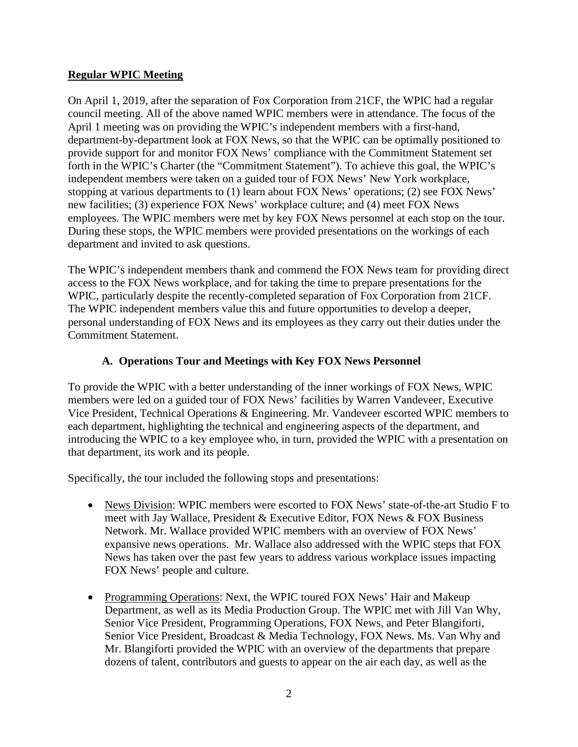### **Regular WPIC Meeting**

On April 1, 2019, after the separation of Fox Corporation from 21CF, the WPIC had a regular council meeting. All of the above named WPIC members were in attendance. The focus of the April 1 meeting was on providing the WPIC's independent members with a first-hand, department-by-department look at FOX News, so that the WPIC can be optimally positioned to provide support for and monitor FOX News' compliance with the Commitment Statement set forth in the WPIC's Charter (the "Commitment Statement"). To achieve this goal, the WPIC's independent members were taken on a guided tour of FOX News' New York workplace, stopping at various departments to (1) learn about FOX News' operations; (2) see FOX News' new facilities; (3) experience FOX News' workplace culture; and (4) meet FOX News employees. The WPIC members were met by key FOX News personnel at each stop on the tour. During these stops, the WPIC members were provided presentations on the workings of each department and invited to ask questions.

The WPIC's independent members thank and commend the FOX News team for providing direct access to the FOX News workplace, and for taking the time to prepare presentations for the WPIC, particularly despite the recently-completed separation of Fox Corporation from 21CF. The WPIC independent members value this and future opportunities to develop a deeper, personal understanding of FOX News and its employees as they carry out their duties under the Commitment Statement.

## **A. Operations Tour and Meetings with Key FOX News Personnel**

To provide the WPIC with a better understanding of the inner workings of FOX News, WPIC members were led on a guided tour of FOX News' facilities by Warren Vandeveer, Executive Vice President, Technical Operations & Engineering. Mr. Vandeveer escorted WPIC members to each department, highlighting the technical and engineering aspects of the department, and introducing the WPIC to a key employee who, in turn, provided the WPIC with a presentation on that department, its work and its people.

Specifically, the tour included the following stops and presentations:

- News Division: WPIC members were escorted to FOX News' state-of-the-art Studio F to meet with Jay Wallace, President & Executive Editor, FOX News & FOX Business Network. Mr. Wallace provided WPIC members with an overview of FOX News' expansive news operations. Mr. Wallace also addressed with the WPIC steps that FOX News has taken over the past few years to address various workplace issues impacting FOX News' people and culture.
- Programming Operations: Next, the WPIC toured FOX News' Hair and Makeup Department, as well as its Media Production Group. The WPIC met with Jill Van Why, Senior Vice President, Programming Operations, FOX News, and Peter Blangiforti, Senior Vice President, Broadcast & Media Technology, FOX News. Ms. Van Why and Mr. Blangiforti provided the WPIC with an overview of the departments that prepare dozens of talent, contributors and guests to appear on the air each day, as well as the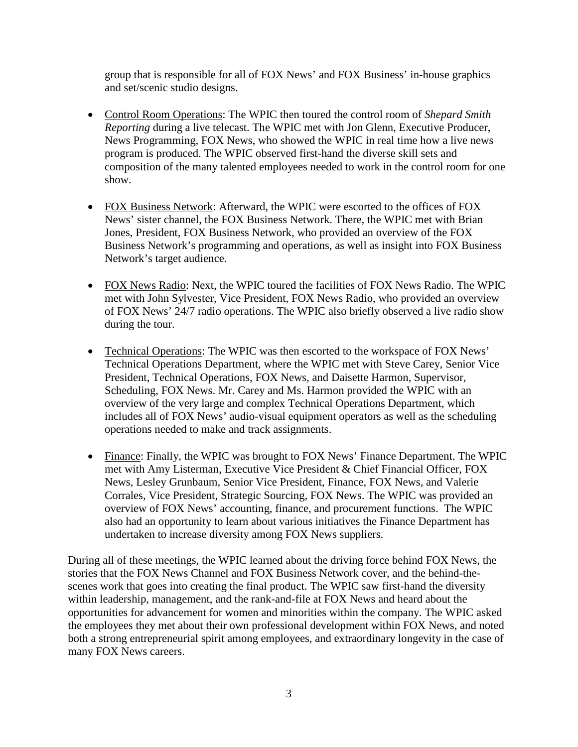group that is responsible for all of FOX News' and FOX Business' in-house graphics and set/scenic studio designs.

- Control Room Operations: The WPIC then toured the control room of *Shepard Smith Reporting* during a live telecast. The WPIC met with Jon Glenn, Executive Producer, News Programming, FOX News, who showed the WPIC in real time how a live news program is produced. The WPIC observed first-hand the diverse skill sets and composition of the many talented employees needed to work in the control room for one show.
- FOX Business Network: Afterward, the WPIC were escorted to the offices of FOX News' sister channel, the FOX Business Network. There, the WPIC met with Brian Jones, President, FOX Business Network, who provided an overview of the FOX Business Network's programming and operations, as well as insight into FOX Business Network's target audience.
- FOX News Radio: Next, the WPIC toured the facilities of FOX News Radio. The WPIC met with John Sylvester, Vice President, FOX News Radio, who provided an overview of FOX News' 24/7 radio operations. The WPIC also briefly observed a live radio show during the tour.
- Technical Operations: The WPIC was then escorted to the workspace of FOX News' Technical Operations Department, where the WPIC met with Steve Carey, Senior Vice President, Technical Operations, FOX News, and Daisette Harmon, Supervisor, Scheduling, FOX News. Mr. Carey and Ms. Harmon provided the WPIC with an overview of the very large and complex Technical Operations Department, which includes all of FOX News' audio-visual equipment operators as well as the scheduling operations needed to make and track assignments.
- Finance: Finally, the WPIC was brought to FOX News' Finance Department. The WPIC met with Amy Listerman, Executive Vice President & Chief Financial Officer, FOX News, Lesley Grunbaum, Senior Vice President, Finance, FOX News, and Valerie Corrales, Vice President, Strategic Sourcing, FOX News. The WPIC was provided an overview of FOX News' accounting, finance, and procurement functions. The WPIC also had an opportunity to learn about various initiatives the Finance Department has undertaken to increase diversity among FOX News suppliers.

During all of these meetings, the WPIC learned about the driving force behind FOX News, the stories that the FOX News Channel and FOX Business Network cover, and the behind-thescenes work that goes into creating the final product. The WPIC saw first-hand the diversity within leadership, management, and the rank-and-file at FOX News and heard about the opportunities for advancement for women and minorities within the company. The WPIC asked the employees they met about their own professional development within FOX News, and noted both a strong entrepreneurial spirit among employees, and extraordinary longevity in the case of many FOX News careers.